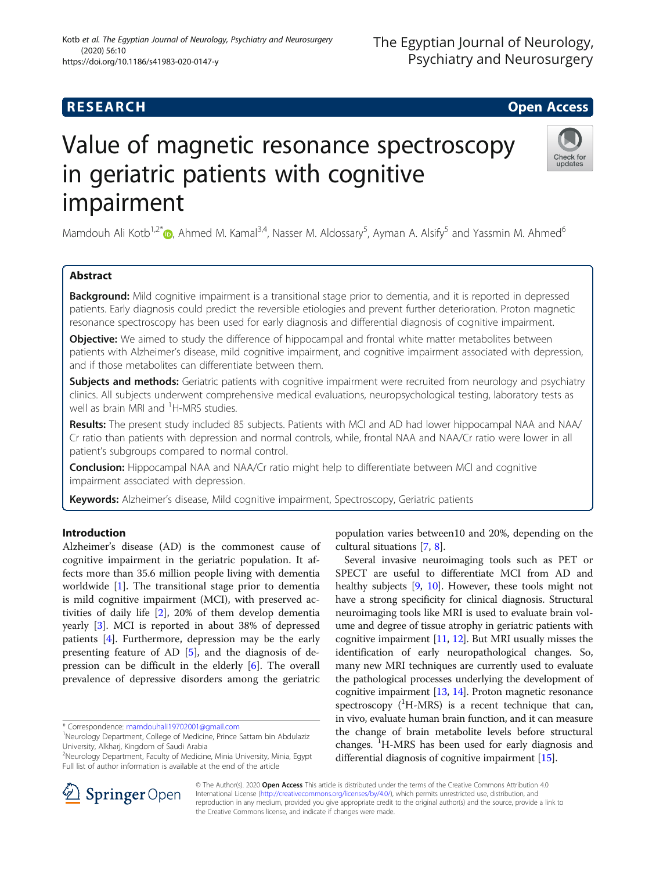# **RESEARCH CHE Open Access**

# Value of magnetic resonance spectroscopy in geriatric patients with cognitive impairment

Mamdouh Ali Kotb<sup>1,2[\\*](http://orcid.org/0000-0001-7049-1237)</sup> (@, Ahmed M. Kamal<sup>3,4</sup>, Nasser M. Aldossary<sup>5</sup>, Ayman A. Alsify<sup>5</sup> and Yassmin M. Ahmed<sup>6</sup>

# Abstract

Background: Mild cognitive impairment is a transitional stage prior to dementia, and it is reported in depressed patients. Early diagnosis could predict the reversible etiologies and prevent further deterioration. Proton magnetic resonance spectroscopy has been used for early diagnosis and differential diagnosis of cognitive impairment.

**Objective:** We aimed to study the difference of hippocampal and frontal white matter metabolites between patients with Alzheimer's disease, mild cognitive impairment, and cognitive impairment associated with depression, and if those metabolites can differentiate between them.

Subjects and methods: Geriatric patients with cognitive impairment were recruited from neurology and psychiatry clinics. All subjects underwent comprehensive medical evaluations, neuropsychological testing, laboratory tests as well as brain MRI and <sup>1</sup>H-MRS studies.

Results: The present study included 85 subjects. Patients with MCI and AD had lower hippocampal NAA and NAA/ Cr ratio than patients with depression and normal controls, while, frontal NAA and NAA/Cr ratio were lower in all patient's subgroups compared to normal control.

Conclusion: Hippocampal NAA and NAA/Cr ratio might help to differentiate between MCI and cognitive impairment associated with depression.

the Creative Commons license, and indicate if changes were made.

Keywords: Alzheimer's disease, Mild cognitive impairment, Spectroscopy, Geriatric patients

# Introduction

Alzheimer's disease (AD) is the commonest cause of cognitive impairment in the geriatric population. It affects more than 35.6 million people living with dementia worldwide [\[1](#page-7-0)]. The transitional stage prior to dementia is mild cognitive impairment (MCI), with preserved activities of daily life [[2](#page-7-0)], 20% of them develop dementia yearly [\[3](#page-7-0)]. MCI is reported in about 38% of depressed patients [\[4](#page-7-0)]. Furthermore, depression may be the early presenting feature of AD [\[5\]](#page-7-0), and the diagnosis of depression can be difficult in the elderly [[6\]](#page-7-0). The overall prevalence of depressive disorders among the geriatric

\* Correspondence: [mamdouhali19702001@gmail.com](mailto:mamdouhali19702001@gmail.com) <sup>1</sup>

2 Neurology Department, Faculty of Medicine, Minia University, Minia, Egypt Full list of author information is available at the end of the article

© The Author(s). 2020 Open Access This article is distributed under the terms of the Creative Commons Attribution 4.0 International License ([http://creativecommons.org/licenses/by/4.0/\)](http://creativecommons.org/licenses/by/4.0/), which permits unrestricted use, distribution, and reproduction in any medium, provided you give appropriate credit to the original author(s) and the source, provide a link to

population varies between10 and 20%, depending on the cultural situations [\[7](#page-7-0), [8](#page-7-0)].

Several invasive neuroimaging tools such as PET or SPECT are useful to differentiate MCI from AD and healthy subjects [[9,](#page-7-0) [10\]](#page-7-0). However, these tools might not have a strong specificity for clinical diagnosis. Structural neuroimaging tools like MRI is used to evaluate brain volume and degree of tissue atrophy in geriatric patients with cognitive impairment [\[11](#page-7-0), [12\]](#page-7-0). But MRI usually misses the identification of early neuropathological changes. So, many new MRI techniques are currently used to evaluate the pathological processes underlying the development of cognitive impairment [\[13](#page-7-0), [14\]](#page-7-0). Proton magnetic resonance spectroscopy  $(^1H-MRS)$  is a recent technique that can, in vivo, evaluate human brain function, and it can measure the change of brain metabolite levels before structural changes.<sup>1</sup>H-MRS has been used for early diagnosis and differential diagnosis of cognitive impairment [\[15](#page-7-0)].





<sup>&</sup>lt;sup>1</sup>Neurology Department, College of Medicine, Prince Sattam bin Abdulaziz University, Alkharj, Kingdom of Saudi Arabia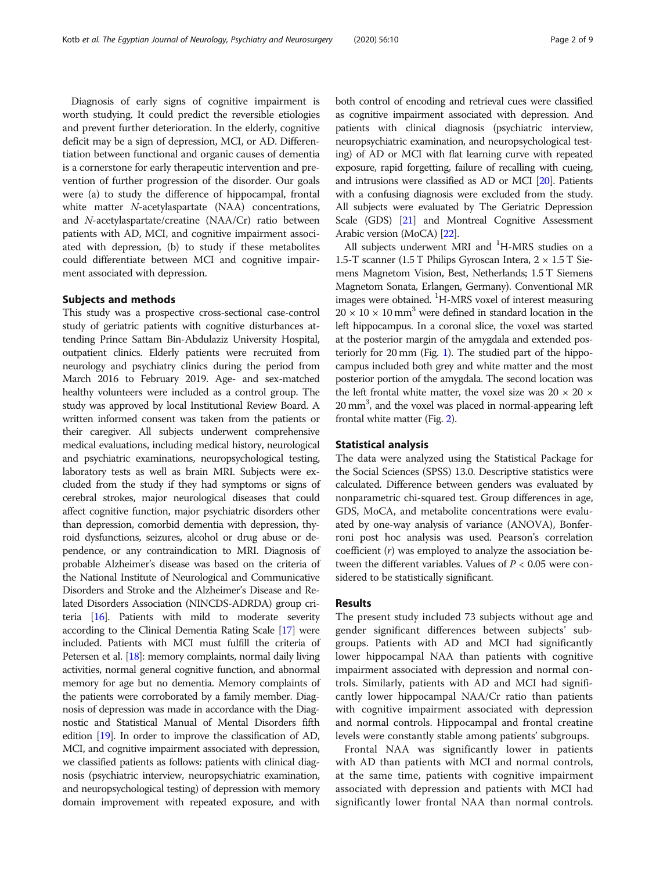Diagnosis of early signs of cognitive impairment is worth studying. It could predict the reversible etiologies and prevent further deterioration. In the elderly, cognitive deficit may be a sign of depression, MCI, or AD. Differentiation between functional and organic causes of dementia is a cornerstone for early therapeutic intervention and prevention of further progression of the disorder. Our goals were (a) to study the difference of hippocampal, frontal white matter *N*-acetylaspartate (NAA) concentrations, and N-acetylaspartate/creatine (NAA/Cr) ratio between patients with AD, MCI, and cognitive impairment associated with depression, (b) to study if these metabolites could differentiate between MCI and cognitive impairment associated with depression.

## Subjects and methods

This study was a prospective cross-sectional case-control study of geriatric patients with cognitive disturbances attending Prince Sattam Bin-Abdulaziz University Hospital, outpatient clinics. Elderly patients were recruited from neurology and psychiatry clinics during the period from March 2016 to February 2019. Age- and sex-matched healthy volunteers were included as a control group. The study was approved by local Institutional Review Board. A written informed consent was taken from the patients or their caregiver. All subjects underwent comprehensive medical evaluations, including medical history, neurological and psychiatric examinations, neuropsychological testing, laboratory tests as well as brain MRI. Subjects were excluded from the study if they had symptoms or signs of cerebral strokes, major neurological diseases that could affect cognitive function, major psychiatric disorders other than depression, comorbid dementia with depression, thyroid dysfunctions, seizures, alcohol or drug abuse or dependence, or any contraindication to MRI. Diagnosis of probable Alzheimer's disease was based on the criteria of the National Institute of Neurological and Communicative Disorders and Stroke and the Alzheimer's Disease and Related Disorders Association (NINCDS-ADRDA) group criteria [\[16\]](#page-7-0). Patients with mild to moderate severity according to the Clinical Dementia Rating Scale [[17](#page-7-0)] were included. Patients with MCI must fulfill the criteria of Petersen et al. [\[18](#page-7-0)]: memory complaints, normal daily living activities, normal general cognitive function, and abnormal memory for age but no dementia. Memory complaints of the patients were corroborated by a family member. Diagnosis of depression was made in accordance with the Diagnostic and Statistical Manual of Mental Disorders fifth edition [[19](#page-7-0)]. In order to improve the classification of AD, MCI, and cognitive impairment associated with depression, we classified patients as follows: patients with clinical diagnosis (psychiatric interview, neuropsychiatric examination, and neuropsychological testing) of depression with memory domain improvement with repeated exposure, and with both control of encoding and retrieval cues were classified as cognitive impairment associated with depression. And patients with clinical diagnosis (psychiatric interview, neuropsychiatric examination, and neuropsychological testing) of AD or MCI with flat learning curve with repeated exposure, rapid forgetting, failure of recalling with cueing, and intrusions were classified as AD or MCI [[20](#page-7-0)]. Patients with a confusing diagnosis were excluded from the study. All subjects were evaluated by The Geriatric Depression Scale (GDS) [[21](#page-7-0)] and Montreal Cognitive Assessment Arabic version (MoCA) [[22](#page-7-0)].

All subjects underwent MRI and <sup>1</sup>H-MRS studies on a 1.5-T scanner (1.5 T Philips Gyroscan Intera,  $2 \times 1.5$  T Siemens Magnetom Vision, Best, Netherlands; 1.5 T Siemens Magnetom Sonata, Erlangen, Germany). Conventional MR images were obtained. <sup>1</sup>H-MRS voxel of interest measuring  $20 \times 10 \times 10$  mm<sup>3</sup> were defined in standard location in the left hippocampus. In a coronal slice, the voxel was started at the posterior margin of the amygdala and extended posteriorly for 20 mm (Fig. [1\)](#page-2-0). The studied part of the hippocampus included both grey and white matter and the most posterior portion of the amygdala. The second location was the left frontal white matter, the voxel size was  $20 \times 20 \times$ 20 mm<sup>3</sup>, and the voxel was placed in normal-appearing left frontal white matter (Fig. [2\)](#page-2-0).

#### Statistical analysis

The data were analyzed using the Statistical Package for the Social Sciences (SPSS) 13.0. Descriptive statistics were calculated. Difference between genders was evaluated by nonparametric chi-squared test. Group differences in age, GDS, MoCA, and metabolite concentrations were evaluated by one-way analysis of variance (ANOVA), Bonferroni post hoc analysis was used. Pearson's correlation coefficient (r) was employed to analyze the association between the different variables. Values of  $P < 0.05$  were considered to be statistically significant.

## Results

The present study included 73 subjects without age and gender significant differences between subjects' subgroups. Patients with AD and MCI had significantly lower hippocampal NAA than patients with cognitive impairment associated with depression and normal controls. Similarly, patients with AD and MCI had significantly lower hippocampal NAA/Cr ratio than patients with cognitive impairment associated with depression and normal controls. Hippocampal and frontal creatine levels were constantly stable among patients' subgroups.

Frontal NAA was significantly lower in patients with AD than patients with MCI and normal controls, at the same time, patients with cognitive impairment associated with depression and patients with MCI had significantly lower frontal NAA than normal controls.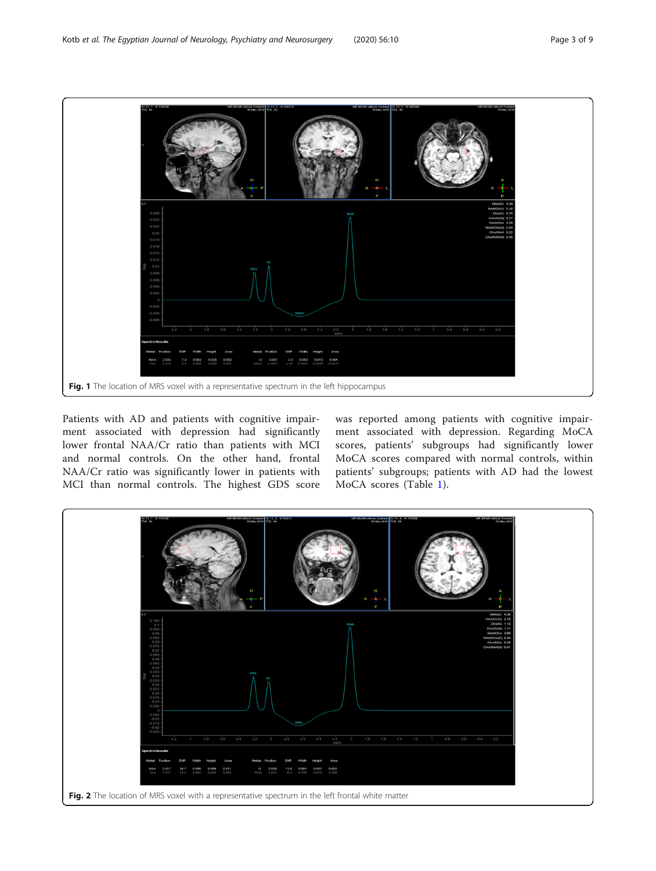<span id="page-2-0"></span>

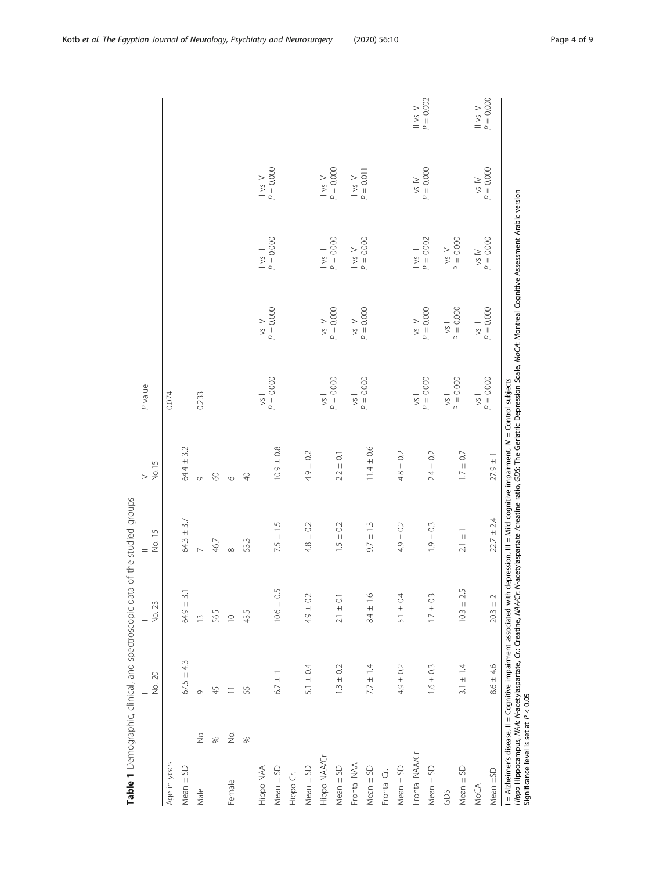<span id="page-3-0"></span>

|                                         |                          | Table 1 Demographic, clinical, and spectroscopic data |                | of the studied groups                                                                                                                                                                                                                  |                 |                               |                         |                                             |                                                                                             |                                                                                                        |
|-----------------------------------------|--------------------------|-------------------------------------------------------|----------------|----------------------------------------------------------------------------------------------------------------------------------------------------------------------------------------------------------------------------------------|-----------------|-------------------------------|-------------------------|---------------------------------------------|---------------------------------------------------------------------------------------------|--------------------------------------------------------------------------------------------------------|
|                                         |                          | No. 20                                                | No. 23         | $\equiv \frac{15}{20}$                                                                                                                                                                                                                 | No.15<br>$\geq$ | P value                       |                         |                                             |                                                                                             |                                                                                                        |
| Age in years                            |                          |                                                       |                |                                                                                                                                                                                                                                        |                 | 0.074                         |                         |                                             |                                                                                             |                                                                                                        |
| Mean ± SD                               |                          | $67.5 \pm 4.3$                                        | $64.9 \pm 3.1$ | $64.3 \pm 3.7$                                                                                                                                                                                                                         | 64.4 ± 3.2      |                               |                         |                                             |                                                                                             |                                                                                                        |
| Male                                    | ЗÓ.                      | 0                                                     | $\frac{1}{2}$  | $\overline{a}$                                                                                                                                                                                                                         | Ò               | 0.233                         |                         |                                             |                                                                                             |                                                                                                        |
|                                         | S,                       | 45                                                    | 56.5           | 46.7                                                                                                                                                                                                                                   | $\infty$        |                               |                         |                                             |                                                                                             |                                                                                                        |
| Female                                  | $\stackrel{\circ}{\geq}$ | $\equiv$                                              | $\supseteq$    | $\infty$                                                                                                                                                                                                                               | $\circ$         |                               |                         |                                             |                                                                                             |                                                                                                        |
|                                         | $\frac{8}{2}$            | 55                                                    | 43.5           | 53.3                                                                                                                                                                                                                                   | $\Theta$        |                               |                         |                                             |                                                                                             |                                                                                                        |
| Hippo NAA                               |                          |                                                       |                |                                                                                                                                                                                                                                        |                 | $\sqrt{s}$ ll                 | $\sim$ 1 $\!\times$     | $\frac{\text{II vs III}}{\text{P} = 0.000}$ | $\frac{1}{\rho} = 0.0000$                                                                   |                                                                                                        |
| Mean ± SD                               |                          | $+$<br>6.7                                            | $10.6 \pm 0.5$ | $7.5 \pm 1.5$                                                                                                                                                                                                                          | $10.9 \pm 0.8$  | $P = 0.000$                   | $P = 0.000$             |                                             |                                                                                             |                                                                                                        |
| Hippo Cr.                               |                          |                                                       |                |                                                                                                                                                                                                                                        |                 |                               |                         |                                             |                                                                                             |                                                                                                        |
| $Mean \pm SD$                           |                          | 5.1 $\pm$ 0.4                                         | $4.9 \pm 0.2$  | $4.8 \pm 0.2$                                                                                                                                                                                                                          | $4.9 \pm 0.2$   |                               |                         |                                             |                                                                                             |                                                                                                        |
| Hippo NAA/Cr                            |                          |                                                       |                |                                                                                                                                                                                                                                        |                 | $\frac{1}{\rho} = 0.000$      | $\log W$<br>$P = 0.000$ | $\frac{\text{II vs III}}{\text{P} = 0.000}$ | $\frac{11 \text{ vs } \text{N}}{P} = 0.0000$                                                |                                                                                                        |
| $Mean \pm SD$                           |                          | $1.3 \pm 0.2$                                         | $2.1 \pm 0.1$  | $1.5 \pm 0.2$                                                                                                                                                                                                                          | $2.2 \pm 0.1$   |                               |                         |                                             |                                                                                             |                                                                                                        |
| Frontal NAA                             |                          |                                                       |                |                                                                                                                                                                                                                                        |                 | $\log \frac{1}{\rho} = 0.000$ | $\log W$<br>$P = 0.000$ | $P = 0.000$                                 | $\begin{aligned} \n\text{III vs } \text{IV} \\ \nP &= 0.011 \n\end{aligned}$                |                                                                                                        |
| $Mean \pm SD$                           |                          | $7.7 \pm 1.4$                                         | $8.4 \pm 1.6$  | $9.7 \pm 1.3$                                                                                                                                                                                                                          | $11.4 \pm 0.6$  |                               |                         |                                             |                                                                                             |                                                                                                        |
| Frontal Cr.                             |                          |                                                       |                |                                                                                                                                                                                                                                        |                 |                               |                         |                                             |                                                                                             |                                                                                                        |
| Mean $\pm$ SD                           |                          | $4.9 \pm 0.2$                                         | 5.1 $\pm$ 0.4  | $4.9 \pm 0.2$                                                                                                                                                                                                                          | $4.8 \pm 0.2$   |                               |                         |                                             |                                                                                             |                                                                                                        |
| Frontal NAA/Cr                          |                          |                                                       |                |                                                                                                                                                                                                                                        |                 | $P = 0.000$                   | $\log W$<br>$P = 0.000$ | $P = 0.002$                                 | $\begin{aligned} \n\mathsf{I} \mathsf{vs} \mathsf{N} \\ \mathsf{P} &= 0.000\n\end{aligned}$ | $\frac{\mathsf{III}}{\mathsf{P}} = 0.002$                                                              |
| $Mean \pm SD$                           |                          | $1.6 \pm 0.3$                                         | $1.7 \pm 0.3$  | $1.9 \pm 0.3$                                                                                                                                                                                                                          | $2.4 \pm 0.2$   |                               |                         |                                             |                                                                                             |                                                                                                        |
| GDS                                     |                          |                                                       |                |                                                                                                                                                                                                                                        |                 | $\frac{1}{2}$                 | $\frac{1}{P} = 0.0000$  | $11 \text{ vs } N$<br>$P = 0.000$           |                                                                                             |                                                                                                        |
| Mean $\pm$ SD                           |                          | $3.1 \pm 1.4$                                         | $10.3 \pm 2.5$ | $2.1 \pm 1$                                                                                                                                                                                                                            | $1.7 \pm 0.7$   | $P = 0.000$                   |                         |                                             |                                                                                             |                                                                                                        |
| <b>MoCA</b>                             |                          |                                                       |                |                                                                                                                                                                                                                                        |                 | $\frac{1}{2}$                 | $\frac{1}{5}$           | $\frac{1}{3}$ M                             | $\frac{N}{\rho} = 0.0000$                                                                   | $\begin{aligned} \n\mathsf{III} \, & \mathsf{vs} \, \mathsf{IV} \\ \mathsf{P} &= 0.000\n\end{aligned}$ |
| Mean ±SD                                |                          | $8.6 \pm 4.6$                                         | $20.3 \pm 2$   | $22.7 \pm 2.4$                                                                                                                                                                                                                         | $27.9 \pm 1$    | $P = 0.000$                   | $P = 0.000$             | $P = 0.000$                                 |                                                                                             |                                                                                                        |
| Significance level is set at $P < 0.05$ |                          |                                                       |                | l = Alzheimer's disease, ll = Cognitive impairment associated with depression, lll = Mild cognitive impairment, lV = Control subjects<br>Hippo Hippocampus, MAA: M-acetylaspartate, <i>Cr.:</i> Creatine, MAA/Cr. M-acetylaspartate /c |                 |                               |                         |                                             |                                                                                             |                                                                                                        |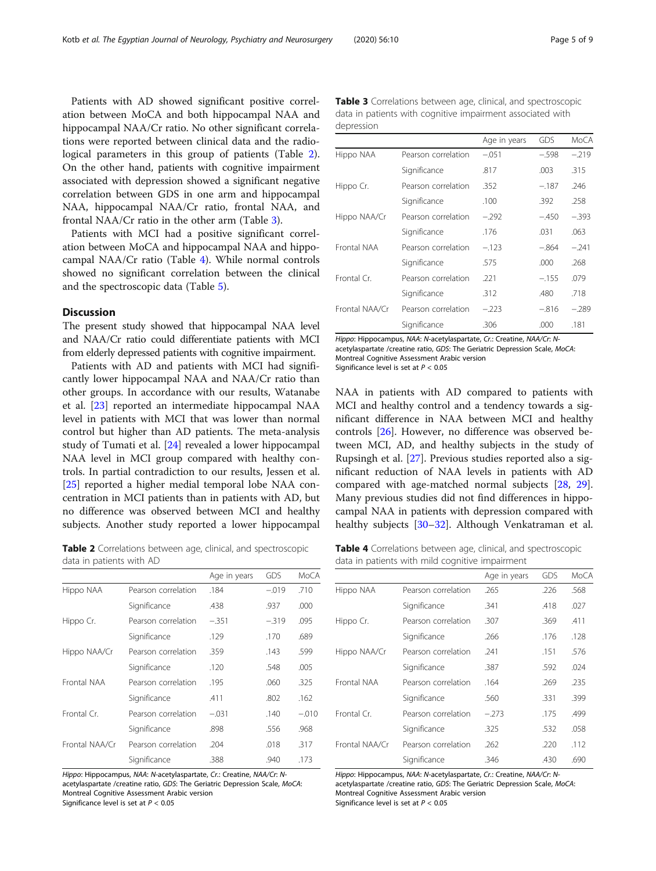Patients with AD showed significant positive correlation between MoCA and both hippocampal NAA and hippocampal NAA/Cr ratio. No other significant correlations were reported between clinical data and the radiological parameters in this group of patients (Table 2). On the other hand, patients with cognitive impairment associated with depression showed a significant negative correlation between GDS in one arm and hippocampal NAA, hippocampal NAA/Cr ratio, frontal NAA, and frontal NAA/Cr ratio in the other arm (Table 3).

Patients with MCI had a positive significant correlation between MoCA and hippocampal NAA and hippocampal NAA/Cr ratio (Table 4). While normal controls showed no significant correlation between the clinical and the spectroscopic data (Table [5\)](#page-5-0).

## Discussion

The present study showed that hippocampal NAA level and NAA/Cr ratio could differentiate patients with MCI from elderly depressed patients with cognitive impairment.

Patients with AD and patients with MCI had significantly lower hippocampal NAA and NAA/Cr ratio than other groups. In accordance with our results, Watanabe et al. [\[23](#page-7-0)] reported an intermediate hippocampal NAA level in patients with MCI that was lower than normal control but higher than AD patients. The meta-analysis study of Tumati et al. [\[24\]](#page-7-0) revealed a lower hippocampal NAA level in MCI group compared with healthy controls. In partial contradiction to our results, Jessen et al. [[25\]](#page-7-0) reported a higher medial temporal lobe NAA concentration in MCI patients than in patients with AD, but no difference was observed between MCI and healthy subjects. Another study reported a lower hippocampal

Table 2 Correlations between age, clinical, and spectroscopic data in patients with AD

|                |                     | Age in years | GDS     | MoCA    |
|----------------|---------------------|--------------|---------|---------|
| Hippo NAA      | Pearson correlation | .184         | $-.019$ | .710    |
|                | Significance        | .438         | .937    | .000    |
| Hippo Cr.      | Pearson correlation | $-.351$      | $-319$  | .095    |
|                | Significance        | .129         | .170    | .689    |
| Hippo NAA/Cr   | Pearson correlation | .359         | .143    | .599    |
|                | Significance        | .120         | .548    | .005    |
| Frontal NAA    | Pearson correlation | .195         | .060    | .325    |
|                | Significance        | .411         | .802    | .162    |
| Frontal Cr.    | Pearson correlation | $-.031$      | .140    | $-.010$ |
|                | Significance        | .898         | .556    | .968    |
| Frontal NAA/Cr | Pearson correlation | .204         | .018    | .317    |
|                | Significance        | .388         | .940    | .173    |

Hippo: Hippocampus, NAA: N-acetylaspartate, Cr.: Creatine, NAA/Cr: Nacetylaspartate /creatine ratio, GDS: The Geriatric Depression Scale, MoCA: Montreal Cognitive Assessment Arabic version

Significance level is set at  $P < 0.05$ 

Table 3 Correlations between age, clinical, and spectroscopic data in patients with cognitive impairment associated with depression

|                |                     | Age in years | GDS     | MoCA    |
|----------------|---------------------|--------------|---------|---------|
| Hippo NAA      | Pearson correlation | $-.051$      | $-.598$ | $-.219$ |
|                | Significance        | .817         | .003    | .315    |
| Hippo Cr.      | Pearson correlation | .352         | $-.187$ | .246    |
|                | Significance        | .100         | .392    | .258    |
| Hippo NAA/Cr   | Pearson correlation | $-.292$      | $-.450$ | $-.393$ |
|                | Significance        | .176         | .031    | .063    |
| Frontal NAA    | Pearson correlation | $-123$       | $-.864$ | $-241$  |
|                | Significance        | .575         | .000    | .268    |
| Frontal Cr.    | Pearson correlation | .221         | $-.155$ | .079    |
|                | Significance        | .312         | .480    | .718    |
| Frontal NAA/Cr | Pearson correlation | $-223$       | $-816$  | $-289$  |
|                | Significance        | .306         | .000    | .181    |

Hippo: Hippocampus, NAA: N-acetylaspartate, Cr.: Creatine, NAA/Cr: Nacetylaspartate /creatine ratio, GDS: The Geriatric Depression Scale, MoCA: Montreal Cognitive Assessment Arabic version Significance level is set at  $P < 0.05$ 

NAA in patients with AD compared to patients with MCI and healthy control and a tendency towards a significant difference in NAA between MCI and healthy controls [\[26](#page-7-0)]. However, no difference was observed between MCI, AD, and healthy subjects in the study of Rupsingh et al. [\[27\]](#page-7-0). Previous studies reported also a significant reduction of NAA levels in patients with AD compared with age-matched normal subjects [\[28](#page-7-0), [29](#page-7-0)]. Many previous studies did not find differences in hippocampal NAA in patients with depression compared with healthy subjects [\[30](#page-7-0)–[32\]](#page-7-0). Although Venkatraman et al.

Table 4 Correlations between age, clinical, and spectroscopic data in patients with mild cognitive impairment

|                |                     | Age in years | GDS  | MoCA |
|----------------|---------------------|--------------|------|------|
| Hippo NAA      | Pearson correlation | .265         | .226 | .568 |
|                | Significance        | .341         | .418 | .027 |
| Hippo Cr.      | Pearson correlation | .307         | .369 | .411 |
|                | Significance        | .266         | .176 | .128 |
| Hippo NAA/Cr   | Pearson correlation | .241         | .151 | .576 |
|                | Significance        | .387         | .592 | .024 |
| Frontal NAA    | Pearson correlation | .164         | .269 | .235 |
|                | Significance        | .560         | .331 | .399 |
| Frontal Cr.    | Pearson correlation | $-.273$      | .175 | .499 |
|                | Significance        | .325         | .532 | .058 |
| Frontal NAA/Cr | Pearson correlation | .262         | .220 | .112 |
|                | Significance        | .346         | .430 | .690 |

Hippo: Hippocampus, NAA: N-acetylaspartate, Cr.: Creatine, NAA/Cr: Nacetylaspartate /creatine ratio, GDS: The Geriatric Depression Scale, MoCA: Montreal Cognitive Assessment Arabic version Significance level is set at  $P < 0.05$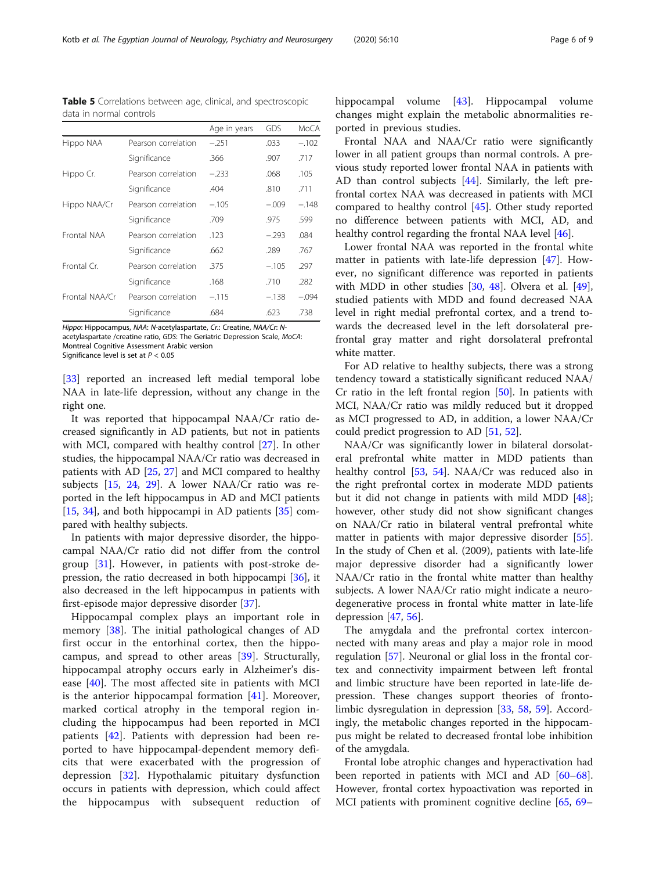Hippo: Hippocampus, NAA: N-acetylaspartate, Cr.: Creatine, NAA/Cr: Nacetylaspartate /creatine ratio, GDS: The Geriatric Depression Scale, MoCA: Montreal Cognitive Assessment Arabic version Significance level is set at  $P < 0.05$ 

[[33\]](#page-7-0) reported an increased left medial temporal lobe NAA in late-life depression, without any change in the right one.

It was reported that hippocampal NAA/Cr ratio decreased significantly in AD patients, but not in patients with MCI, compared with healthy control [[27\]](#page-7-0). In other studies, the hippocampal NAA/Cr ratio was decreased in patients with AD [[25](#page-7-0), [27\]](#page-7-0) and MCI compared to healthy subjects [[15](#page-7-0), [24,](#page-7-0) [29](#page-7-0)]. A lower NAA/Cr ratio was reported in the left hippocampus in AD and MCI patients [[15,](#page-7-0) [34\]](#page-7-0), and both hippocampi in AD patients [[35\]](#page-7-0) compared with healthy subjects.

In patients with major depressive disorder, the hippocampal NAA/Cr ratio did not differ from the control group [[31\]](#page-7-0). However, in patients with post-stroke depression, the ratio decreased in both hippocampi [\[36](#page-7-0)], it also decreased in the left hippocampus in patients with first-episode major depressive disorder [\[37](#page-7-0)].

Hippocampal complex plays an important role in memory [\[38](#page-7-0)]. The initial pathological changes of AD first occur in the entorhinal cortex, then the hippocampus, and spread to other areas [[39](#page-7-0)]. Structurally, hippocampal atrophy occurs early in Alzheimer's disease [\[40](#page-7-0)]. The most affected site in patients with MCI is the anterior hippocampal formation  $[41]$  $[41]$ . Moreover, marked cortical atrophy in the temporal region including the hippocampus had been reported in MCI patients [\[42](#page-7-0)]. Patients with depression had been reported to have hippocampal-dependent memory deficits that were exacerbated with the progression of depression [[32\]](#page-7-0). Hypothalamic pituitary dysfunction occurs in patients with depression, which could affect the hippocampus with subsequent reduction of hippocampal volume [\[43](#page-7-0)]. Hippocampal volume changes might explain the metabolic abnormalities reported in previous studies.

Frontal NAA and NAA/Cr ratio were significantly lower in all patient groups than normal controls. A previous study reported lower frontal NAA in patients with AD than control subjects [\[44](#page-7-0)]. Similarly, the left prefrontal cortex NAA was decreased in patients with MCI compared to healthy control [\[45\]](#page-7-0). Other study reported no difference between patients with MCI, AD, and healthy control regarding the frontal NAA level [\[46\]](#page-7-0).

Lower frontal NAA was reported in the frontal white matter in patients with late-life depression [[47](#page-8-0)]. However, no significant difference was reported in patients with MDD in other studies [\[30](#page-7-0), [48](#page-8-0)]. Olvera et al. [\[49](#page-8-0)], studied patients with MDD and found decreased NAA level in right medial prefrontal cortex, and a trend towards the decreased level in the left dorsolateral prefrontal gray matter and right dorsolateral prefrontal white matter.

For AD relative to healthy subjects, there was a strong tendency toward a statistically significant reduced NAA/ Cr ratio in the left frontal region  $[50]$  $[50]$  $[50]$ . In patients with MCI, NAA/Cr ratio was mildly reduced but it dropped as MCI progressed to AD, in addition, a lower NAA/Cr could predict progression to AD [[51](#page-8-0), [52](#page-8-0)].

NAA/Cr was significantly lower in bilateral dorsolateral prefrontal white matter in MDD patients than healthy control [\[53](#page-8-0), [54\]](#page-8-0). NAA/Cr was reduced also in the right prefrontal cortex in moderate MDD patients but it did not change in patients with mild MDD [\[48](#page-8-0)]; however, other study did not show significant changes on NAA/Cr ratio in bilateral ventral prefrontal white matter in patients with major depressive disorder [\[55](#page-8-0)]. In the study of Chen et al. (2009), patients with late-life major depressive disorder had a significantly lower NAA/Cr ratio in the frontal white matter than healthy subjects. A lower NAA/Cr ratio might indicate a neurodegenerative process in frontal white matter in late-life depression [\[47](#page-8-0), [56](#page-8-0)].

The amygdala and the prefrontal cortex interconnected with many areas and play a major role in mood regulation [[57](#page-8-0)]. Neuronal or glial loss in the frontal cortex and connectivity impairment between left frontal and limbic structure have been reported in late-life depression. These changes support theories of frontolimbic dysregulation in depression [[33,](#page-7-0) [58](#page-8-0), [59](#page-8-0)]. Accordingly, the metabolic changes reported in the hippocampus might be related to decreased frontal lobe inhibition of the amygdala.

Frontal lobe atrophic changes and hyperactivation had been reported in patients with MCI and AD [[60](#page-8-0)–[68](#page-8-0)]. However, frontal cortex hypoactivation was reported in MCI patients with prominent cognitive decline [\[65](#page-8-0), [69](#page-8-0)–

<span id="page-5-0"></span>Table 5 Correlations between age, clinical, and spectroscopic data in normal controls

|                |                     | Age in years | GDS     | MoCA    |
|----------------|---------------------|--------------|---------|---------|
| Hippo NAA      | Pearson correlation | $-.251$      | .033    | $-.102$ |
|                | Significance        | .366         | .907    | .717    |
| Hippo Cr.      | Pearson correlation | $-.233$      | .068    | .105    |
|                | Significance        | .404         | .810    | .711    |
| Hippo NAA/Cr   | Pearson correlation | $-.105$      | $-.009$ | $-.148$ |
|                | Significance        | .709         | .975    | .599    |
| Frontal NAA    | Pearson correlation | .123         | $-.293$ | .084    |
|                | Significance        | .662         | .289    | .767    |
| Frontal Cr.    | Pearson correlation | .375         | $-.105$ | .297    |
|                | Significance        | .168         | .710    | .282    |
| Frontal NAA/Cr | Pearson correlation | $-.115$      | $-.138$ | $-.094$ |
|                | Significance        | .684         | .623    | .738    |
|                |                     |              |         |         |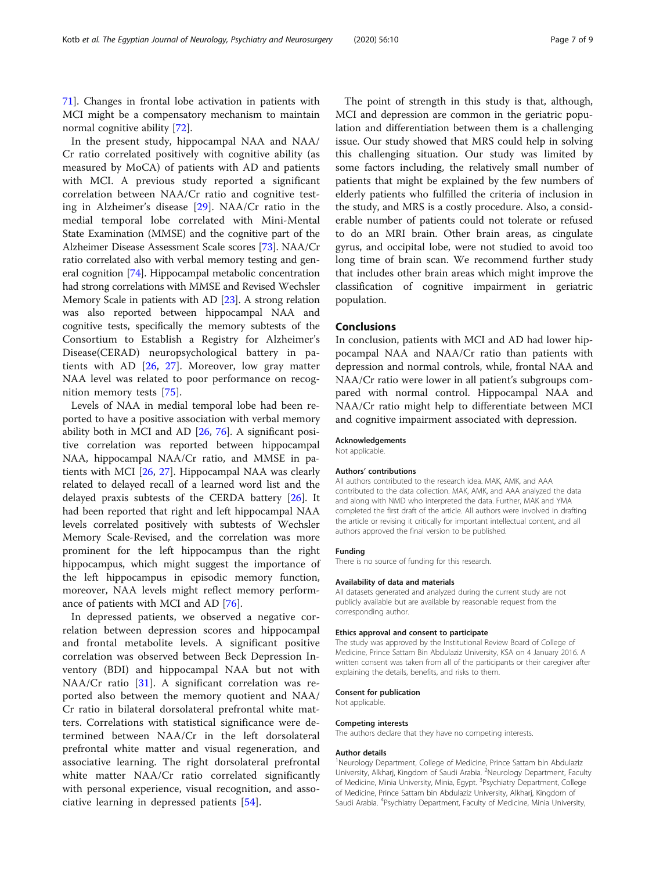In the present study, hippocampal NAA and NAA/ Cr ratio correlated positively with cognitive ability (as measured by MoCA) of patients with AD and patients with MCI. A previous study reported a significant correlation between NAA/Cr ratio and cognitive testing in Alzheimer's disease [[29\]](#page-7-0). NAA/Cr ratio in the medial temporal lobe correlated with Mini-Mental State Examination (MMSE) and the cognitive part of the Alzheimer Disease Assessment Scale scores [[73\]](#page-8-0). NAA/Cr ratio correlated also with verbal memory testing and general cognition [\[74\]](#page-8-0). Hippocampal metabolic concentration had strong correlations with MMSE and Revised Wechsler Memory Scale in patients with AD [[23](#page-7-0)]. A strong relation was also reported between hippocampal NAA and cognitive tests, specifically the memory subtests of the Consortium to Establish a Registry for Alzheimer's Disease(CERAD) neuropsychological battery in patients with AD [\[26](#page-7-0), [27](#page-7-0)]. Moreover, low gray matter NAA level was related to poor performance on recognition memory tests [[75\]](#page-8-0).

Levels of NAA in medial temporal lobe had been reported to have a positive association with verbal memory ability both in MCI and AD [\[26](#page-7-0), [76\]](#page-8-0). A significant positive correlation was reported between hippocampal NAA, hippocampal NAA/Cr ratio, and MMSE in patients with MCI [\[26](#page-7-0), [27](#page-7-0)]. Hippocampal NAA was clearly related to delayed recall of a learned word list and the delayed praxis subtests of the CERDA battery [[26\]](#page-7-0). It had been reported that right and left hippocampal NAA levels correlated positively with subtests of Wechsler Memory Scale-Revised, and the correlation was more prominent for the left hippocampus than the right hippocampus, which might suggest the importance of the left hippocampus in episodic memory function, moreover, NAA levels might reflect memory performance of patients with MCI and AD [\[76](#page-8-0)].

In depressed patients, we observed a negative correlation between depression scores and hippocampal and frontal metabolite levels. A significant positive correlation was observed between Beck Depression Inventory (BDI) and hippocampal NAA but not with NAA/Cr ratio [[31\]](#page-7-0). A significant correlation was reported also between the memory quotient and NAA/ Cr ratio in bilateral dorsolateral prefrontal white matters. Correlations with statistical significance were determined between NAA/Cr in the left dorsolateral prefrontal white matter and visual regeneration, and associative learning. The right dorsolateral prefrontal white matter NAA/Cr ratio correlated significantly with personal experience, visual recognition, and associative learning in depressed patients [[54\]](#page-8-0).

The point of strength in this study is that, although, MCI and depression are common in the geriatric population and differentiation between them is a challenging issue. Our study showed that MRS could help in solving this challenging situation. Our study was limited by some factors including, the relatively small number of patients that might be explained by the few numbers of elderly patients who fulfilled the criteria of inclusion in the study, and MRS is a costly procedure. Also, a considerable number of patients could not tolerate or refused to do an MRI brain. Other brain areas, as cingulate gyrus, and occipital lobe, were not studied to avoid too long time of brain scan. We recommend further study that includes other brain areas which might improve the classification of cognitive impairment in geriatric population.

## Conclusions

In conclusion, patients with MCI and AD had lower hippocampal NAA and NAA/Cr ratio than patients with depression and normal controls, while, frontal NAA and NAA/Cr ratio were lower in all patient's subgroups compared with normal control. Hippocampal NAA and NAA/Cr ratio might help to differentiate between MCI and cognitive impairment associated with depression.

#### Acknowledgements

Not applicable.

#### Authors' contributions

All authors contributed to the research idea. MAK, AMK, and AAA contributed to the data collection. MAK, AMK, and AAA analyzed the data and along with NMD who interpreted the data. Further, MAK and YMA completed the first draft of the article. All authors were involved in drafting the article or revising it critically for important intellectual content, and all authors approved the final version to be published.

#### Funding

There is no source of funding for this research.

#### Availability of data and materials

All datasets generated and analyzed during the current study are not publicly available but are available by reasonable request from the corresponding author.

#### Ethics approval and consent to participate

The study was approved by the Institutional Review Board of College of Medicine, Prince Sattam Bin Abdulaziz University, KSA on 4 January 2016. A written consent was taken from all of the participants or their caregiver after explaining the details, benefits, and risks to them.

#### Consent for publication

Not applicable.

#### Competing interests

The authors declare that they have no competing interests.

#### Author details

<sup>1</sup>Neurology Department, College of Medicine, Prince Sattam bin Abdulaziz University, Alkharj, Kingdom of Saudi Arabia. <sup>2</sup>Neurology Department, Faculty of Medicine, Minia University, Minia, Egypt. <sup>3</sup>Psychiatry Department, College of Medicine, Prince Sattam bin Abdulaziz University, Alkharj, Kingdom of Saudi Arabia. <sup>4</sup>Psychiatry Department, Faculty of Medicine, Minia University,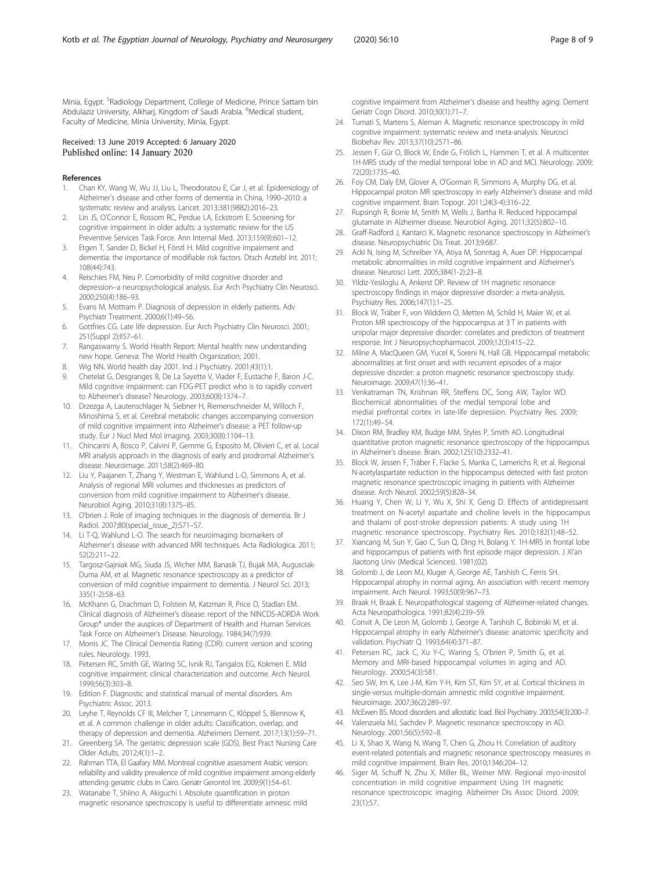<span id="page-7-0"></span>Minia, Egypt. <sup>5</sup>Radiology Department, College of Medicine, Prince Sattam bin Abdulaziz University, Alkharj, Kingdom of Saudi Arabia. <sup>6</sup>Medical student, Faculty of Medicine, Minia University, Minia, Egypt.

#### Received: 13 June 2019 Accepted: 6 January 2020 Published online: 14 January 2020

#### References

- 1. Chan KY, Wang W, Wu JJ, Liu L, Theodoratou E, Car J, et al. Epidemiology of Alzheimer's disease and other forms of dementia in China, 1990–2010: a systematic review and analysis. Lancet. 2013;381(9882):2016–23.
- Lin JS, O'Connor E, Rossom RC, Perdue LA, Eckstrom E. Screening for cognitive impairment in older adults: a systematic review for the US Preventive Services Task Force. Ann Internal Med. 2013;159(9):601–12.
- 3. Etgen T, Sander D, Bickel H, Förstl H. Mild cognitive impairment and dementia: the importance of modifiable risk factors. Dtsch Arztebl Int. 2011; 108(44):743.
- 4. Reischies FM, Neu P. Comorbidity of mild cognitive disorder and depression–a neuropsychological analysis. Eur Arch Psychiatry Clin Neurosci. 2000;250(4):186–93.
- 5. Evans M, Mottram P. Diagnosis of depression in elderly patients. Adv Psychiatr Treatment. 2000;6(1):49–56.
- 6. Gottfries CG. Late life depression. Eur Arch Psychiatry Clin Neurosci. 2001; 251(Suppl 2):II57–61.
- 7. Rangaswamy S. World Health Report: Mental health: new understanding new hope. Geneva: The World Health Organization; 2001.
- 8. Wig NN. World health day 2001. Ind J Psychiatry. 2001;43(1):1.
- 9. Chetelat G, Desgranges B, De La Sayette V, Viader F, Eustache F, Baron J-C. Mild cognitive impairment: can FDG-PET predict who is to rapidly convert to Alzheimer's disease? Neurology. 2003;60(8):1374–7.
- 10. Drzezga A, Lautenschlager N, Siebner H, Riemenschneider M, Willoch F, Minoshima S, et al. Cerebral metabolic changes accompanying conversion of mild cognitive impairment into Alzheimer's disease: a PET follow-up study. Eur J Nucl Med Mol Imaging. 2003;30(8):1104–13.
- 11. Chincarini A, Bosco P, Calvini P, Gemme G, Esposito M, Olivieri C, et al. Local MRI analysis approach in the diagnosis of early and prodromal Alzheimer's disease. Neuroimage. 2011;58(2):469–80.
- 12. Liu Y, Paajanen T, Zhang Y, Westman E, Wahlund L-O, Simmons A, et al. Analysis of regional MRI volumes and thicknesses as predictors of conversion from mild cognitive impairment to Alzheimer's disease. Neurobiol Aging. 2010;31(8):1375–85.
- 13. O'brien J. Role of imaging techniques in the diagnosis of dementia. Br J Radiol. 2007;80(special\_issue\_2):S71–S7.
- 14. Li T-O. Wahlund L-O. The search for neuroimaging biomarkers of Alzheimer's disease with advanced MRI techniques. Acta Radiologica. 2011; 52(2):211–22.
- 15. Targosz-Gajniak MG, Siuda JS, Wicher MM, Banasik TJ, Bujak MA, Augusciak-Duma AM, et al. Magnetic resonance spectroscopy as a predictor of conversion of mild cognitive impairment to dementia. J Neurol Sci. 2013; 335(1-2):58–63.
- 16. McKhann G, Drachman D, Folstein M, Katzman R, Price D, Stadlan EM. Clinical diagnosis of Alzheimer's disease: report of the NINCDS-ADRDA Work Group\* under the auspices of Department of Health and Human Services Task Force on Alzheimer's Disease. Neurology. 1984;34(7):939.
- 17. Morris JC. The Clinical Dementia Rating (CDR): current version and scoring rules. Neurology. 1993.
- 18. Petersen RC, Smith GE, Waring SC, Ivnik RJ, Tangalos EG, Kokmen E. Mild cognitive impairment: clinical characterization and outcome. Arch Neurol. 1999;56(3):303–8.
- 19. Edition F. Diagnostic and statistical manual of mental disorders. Am Psychiatric Assoc. 2013.
- 20. Leyhe T, Reynolds CF III, Melcher T, Linnemann C, Klöppel S, Blennow K, et al. A common challenge in older adults: Classification, overlap, and therapy of depression and dementia. Alzheimers Dement. 2017;13(1):59–71.
- 21. Greenberg SA. The geriatric depression scale (GDS). Best Pract Nursing Care Older Adults. 2012;4(1):1–2.
- 22. Rahman TTA, El Gaafary MM. Montreal cognitive assessment Arabic version: reliability and validity prevalence of mild cognitive impairment among elderly attending geriatric clubs in Cairo. Geriatr Gerontol Int. 2009;9(1):54–61.
- 23. Watanabe T, Shiino A, Akiguchi I. Absolute quantification in proton magnetic resonance spectroscopy is useful to differentiate amnesic mild

cognitive impairment from Alzheimer's disease and healthy aging. Dement Geriatr Cogn Disord. 2010;30(1):71–7.

- 24. Tumati S, Martens S, Aleman A. Magnetic resonance spectroscopy in mild cognitive impairment: systematic review and meta-analysis. Neurosci Biobehav Rev. 2013;37(10):2571–86.
- 25. Jessen F, Gür O, Block W, Ende G, Frölich L, Hammen T, et al. A multicenter 1H-MRS study of the medial temporal lobe in AD and MCI. Neurology. 2009; 72(20):1735–40.
- 26. Foy CM, Daly EM, Glover A, O'Gorman R, Simmons A, Murphy DG, et al. Hippocampal proton MR spectroscopy in early Alzheimer's disease and mild cognitive impairment. Brain Topogr. 2011;24(3-4):316–22.
- 27. Rupsingh R, Borrie M, Smith M, Wells J, Bartha R. Reduced hippocampal glutamate in Alzheimer disease. Neurobiol Aging. 2011;32(5):802–10.
- 28. Graff-Radford J, Kantarci K. Magnetic resonance spectroscopy in Alzheimer's disease. Neuropsychiatric Dis Treat. 2013;9:687.
- 29. Ackl N, Ising M, Schreiber YA, Atiya M, Sonntag A, Auer DP. Hippocampal metabolic abnormalities in mild cognitive impairment and Alzheimer's disease. Neurosci Lett. 2005;384(1-2):23–8.
- 30. Yildiz-Yesiloglu A, Ankerst DP. Review of 1H magnetic resonance spectroscopy findings in major depressive disorder: a meta-analysis. Psychiatry Res. 2006;147(1):1–25.
- 31. Block W, Träber F, von Widdern O, Metten M, Schild H, Maier W, et al. Proton MR spectroscopy of the hippocampus at 3 T in patients with unipolar major depressive disorder: correlates and predictors of treatment response. Int J Neuropsychopharmacol. 2009;12(3):415–22.
- 32. Milne A, MacQueen GM, Yucel K, Soreni N, Hall GB. Hippocampal metabolic abnormalities at first onset and with recurrent episodes of a major depressive disorder: a proton magnetic resonance spectroscopy study. Neuroimage. 2009;47(1):36–41.
- 33. Venkatraman TN, Krishnan RR, Steffens DC, Song AW, Taylor WD. Biochemical abnormalities of the medial temporal lobe and medial prefrontal cortex in late-life depression. Psychiatry Res. 2009; 172(1):49–54.
- 34. Dixon RM, Bradley KM, Budge MM, Styles P, Smith AD. Longitudinal quantitative proton magnetic resonance spectroscopy of the hippocampus in Alzheimer's disease. Brain. 2002;125(10):2332–41.
- 35. Block W, Jessen F, Träber F, Flacke S, Manka C, Lamerichs R, et al. Regional N-acetylaspartate reduction in the hippocampus detected with fast proton magnetic resonance spectroscopic imaging in patients with Alzheimer disease. Arch Neurol. 2002;59(5):828–34.
- 36. Huang Y, Chen W, Li Y, Wu X, Shi X, Geng D. Effects of antidepressant treatment on N-acetyl aspartate and choline levels in the hippocampus and thalami of post-stroke depression patients: A study using 1H magnetic resonance spectroscopy. Psychiatry Res. 2010;182(1):48–52.
- 37. Xiancang M, Sun Y, Gao C, Sun Q, Ding H, Bolang Y. 1H-MRS in frontal lobe and hippocampus of patients with first episode major depression. J Xi'an Jiaotong Univ (Medical Sciences). 1981;(02).
- 38. Golomb J, de Leon MJ, Kluger A, George AE, Tarshish C, Ferris SH. Hippocampal atrophy in normal aging. An association with recent memory impairment. Arch Neurol. 1993;50(9):967–73.
- 39. Braak H, Braak E. Neuropathological stageing of Alzheimer-related changes. Acta Neuropathologica. 1991;82(4):239–59.
- 40. Convit A, De Leon M, Golomb J, George A, Tarshish C, Bobinski M, et al. Hippocampal atrophy in early Alzheimer's disease: anatomic specificity and validation. Psychiatr Q. 1993;64(4):371–87.
- 41. Petersen RC, Jack C, Xu Y-C, Waring S, O'brien P, Smith G, et al. Memory and MRI-based hippocampal volumes in aging and AD. Neurology. 2000;54(3):581.
- 42. Seo SW, Im K, Lee J-M, Kim Y-H, Kim ST, Kim SY, et al. Cortical thickness in single-versus multiple-domain amnestic mild cognitive impairment. Neuroimage. 2007;36(2):289–97.
- 43. McEwen BS. Mood disorders and allostatic load. Biol Psychiatry. 2003;54(3):200–7.
- 44. Valenzuela MJ, Sachdev P. Magnetic resonance spectroscopy in AD. Neurology. 2001;56(5):592–8.
- 45. Li X, Shao X, Wang N, Wang T, Chen G, Zhou H. Correlation of auditory event-related potentials and magnetic resonance spectroscopy measures in mild cognitive impairment. Brain Res. 2010;1346:204–12.
- 46. Siger M, Schuff N, Zhu X, Miller BL, Weiner MW. Regional myo-inositol concentration in mild cognitive impairment Using 1H magnetic resonance spectroscopic imaging. Alzheimer Dis Assoc Disord. 2009; 23(1):57.